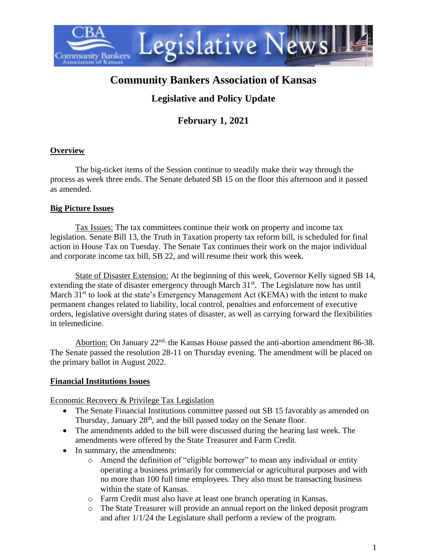

# **Community Bankers Association of Kansas**

# **Legislative and Policy Update**

# **February 1, 2021**

#### **Overview**

The big-ticket items of the Session continue to steadily make their way through the process as week three ends. The Senate debated SB 15 on the floor this afternoon and it passed as amended.

### **Big Picture Issues**

Tax Issues: The tax committees continue their work on property and income tax legislation. Senate Bill 13, the Truth in Taxation property tax reform bill, is scheduled for final action in House Tax on Tuesday. The Senate Tax continues their work on the major individual and corporate income tax bill, SB 22, and will resume their work this week.

State of Disaster Extension: At the beginning of this week, Governor Kelly signed SB 14, extending the state of disaster emergency through March 31<sup>st</sup>. The Legislature now has until March  $31<sup>st</sup>$  to look at the state's Emergency Management Act (KEMA) with the intent to make permanent changes related to liability, local control, penalties and enforcement of executive orders, legislative oversight during states of disaster, as well as carrying forward the flexibilities in telemedicine.

Abortion: On January  $22^{nd}$ , the Kansas House passed the anti-abortion amendment 86-38. The Senate passed the resolution 28-11 on Thursday evening. The amendment will be placed on the primary ballot in August 2022.

#### **Financial Institutions Issues**

Economic Recovery & Privilege Tax Legislation

- The Senate Financial Institutions committee passed out SB 15 favorably as amended on Thursday, January 28<sup>th</sup>, and the bill passed today on the Senate floor.
- The amendments added to the bill were discussed during the hearing last week. The amendments were offered by the State Treasurer and Farm Credit.
- In summary, the amendments:
	- o Amend the definition of "eligible borrower" to mean any individual or entity operating a business primarily for commercial or agricultural purposes and with no more than 100 full time employees. They also must be transacting business within the state of Kansas.
	- o Farm Credit must also have at least one branch operating in Kansas.
	- o The State Treasurer will provide an annual report on the linked deposit program and after 1/1/24 the Legislature shall perform a review of the program.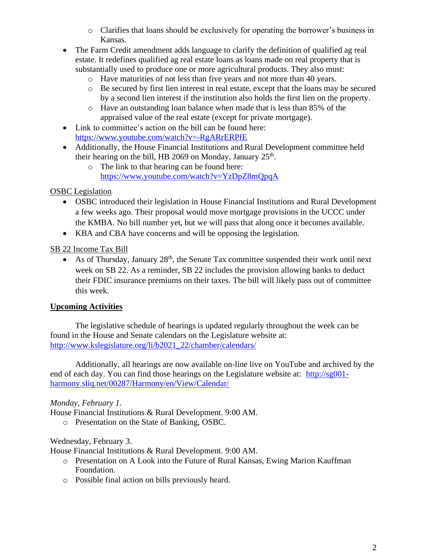- o Clarifies that loans should be exclusively for operating the borrower's business in Kansas.
- The Farm Credit amendment adds language to clarify the definition of qualified ag real estate. It redefines qualified ag real estate loans as loans made on real property that is substantially used to produce one or more agricultural products. They also must:
	- o Have maturities of not less than five years and not more than 40 years.
	- o Be secured by first lien interest in real estate, except that the loans may be secured by a second lien interest if the institution also holds the first lien on the property.
	- o Have an outstanding loan balance when made that is less than 85% of the appraised value of the real estate (except for private mortgage).
- Link to committee's action on the bill can be found here: <https://www.youtube.com/watch?v=-RgARrERPfE>
- Additionally, the House Financial Institutions and Rural Development committee held their hearing on the bill, HB 2069 on Monday, January  $25<sup>th</sup>$ .
	- o The link to that hearing can be found here: <https://www.youtube.com/watch?v=YzDpZ8mQpqA>

OSBC Legislation

- OSBC introduced their legislation in House Financial Institutions and Rural Development a few weeks ago. Their proposal would move mortgage provisions in the UCCC under the KMBA. No bill number yet, but we will pass that along once it becomes available.
- KBA and CBA have concerns and will be opposing the legislation.

SB 22 Income Tax Bill

• As of Thursday, January  $28<sup>th</sup>$ , the Senate Tax committee suspended their work until next week on SB 22. As a reminder, SB 22 includes the provision allowing banks to deduct their FDIC insurance premiums on their taxes. The bill will likely pass out of committee this week.

# **Upcoming Activities**

The legislative schedule of hearings is updated regularly throughout the week can be found in the House and Senate calendars on the Legislature website at: [http://www.kslegislature.org/li/b2021\\_22/chamber/calendars/](http://www.kslegislature.org/li/b2021_22/chamber/calendars/)

Additionally, all hearings are now available on-line live on YouTube and archived by the end of each day. You can find those hearings on the Legislature website at: [http://sg001](http://sg001-harmony.sliq.net/00287/Harmony/en/View/Calendar/) [harmony.sliq.net/00287/Harmony/en/View/Calendar/](http://sg001-harmony.sliq.net/00287/Harmony/en/View/Calendar/)

# *Monday, February 1.*

House Financial Institutions & Rural Development. 9:00 AM.

o Presentation on the State of Banking, OSBC.

# Wednesday, February 3.

House Financial Institutions & Rural Development. 9:00 AM.

- o Presentation on A Look into the Future of Rural Kansas, Ewing Marion Kauffman Foundation.
- o Possible final action on bills previously heard.